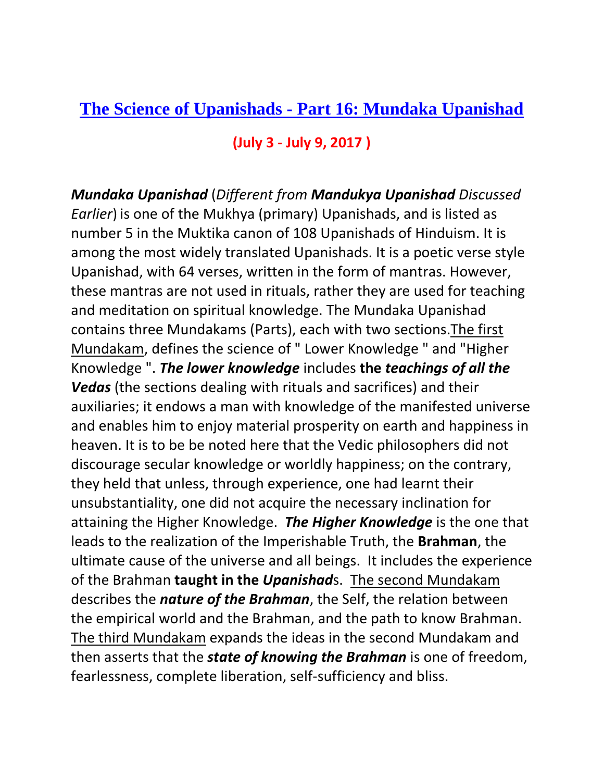## **The Science of Upanishads - [Part 16: Mundaka Upanishad](http://www.hinduwebsite.com/sacredscripts/hinduism/upanishads/mundaka.asp)**

## **(July 3 - July 9, 2017 )**

*Mundaka Upanishad* (*Different from Mandukya Upanishad Discussed Earlier*) is one of the Mukhya (primary) Upanishads, and is listed as number 5 in the Muktika canon of 108 Upanishads of Hinduism. It is among the most widely translated Upanishads. It is a poetic verse style Upanishad, with 64 verses, written in the form of mantras. However, these mantras are not used in rituals, rather they are used for teaching and meditation on spiritual knowledge. The Mundaka Upanishad contains three Mundakams (Parts), each with two sections.The first Mundakam, defines the science of " Lower Knowledge " and "Higher Knowledge ". *The lower knowledge* includes **the** *teachings of all the Vedas* (the sections dealing with rituals and sacrifices) and their auxiliaries; it endows a man with knowledge of the manifested universe and enables him to enjoy material prosperity on earth and happiness in heaven. It is to be be noted here that the Vedic philosophers did not discourage secular knowledge or worldly happiness; on the contrary, they held that unless, through experience, one had learnt their unsubstantiality, one did not acquire the necessary inclination for attaining the Higher Knowledge. *The Higher Knowledge* is the one that leads to the realization of the Imperishable Truth, the **Brahman**, the ultimate cause of the universe and all beings. It includes the experience of the Brahman **taught in the** *Upanishad*s. The second Mundakam describes the *nature of the Brahman*, the Self, the relation between the empirical world and the Brahman, and the path to know Brahman. The third Mundakam expands the ideas in the second Mundakam and then asserts that the *state of knowing the Brahman* is one of freedom, fearlessness, complete liberation, self-sufficiency and bliss.